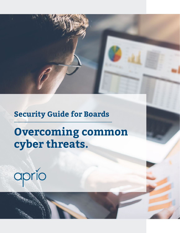### **Security Guide for Boards**

### **Overcoming common cyber threats.**

# aprío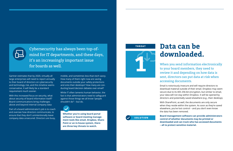Gartner estimates that by 2020, virtually all large enterprises will need to report annually to their board of directors on cybersecurity and technology risk, and this timeline seems conservative. It will likely be a standard requirement much sooner.

With this increased focus on security, what about security of board information itself? Board communications bring challenges above and beyond internal company data

Part of a board administrator's job is to coach and oversee how directors communicate, to ensure that they don't unintentionally leave company data unsecured. Directors are busy,

mobile, and sometimes less-than-tech savvy. How many of them right now are saving documents outside your safety protections and onto their desktops? How many are conducting board decision debates over email?

While IT often laments human behavior, the fact is that administrators need to safeguard against those things we all know "people shouldn't do" – but do.

**Whether you're using board portal software or board meeting management tools like email, Dropbox, Share-Point or an in-house system, there are three key threats to watch.**

Cybersecurity has always been top-ofmind for IT departments, and these days, it's an increasingly important issue for boards as well.

## **Data can be downloaded.**

When you send information electronically to your board members, they need to review it and depending on how data is sent, directors can put data at risk when accessing documents.

Email is notoriously insecure and will require directors to download material outside of their email. Dropbox may seem secure due to its AES 256-bit encryption, but similar to email, your data will not stay within Dropbox. It will be opened by directors and potentially saved elsewhere (e.g., their desktop).

With SharePoint, as well, the documents are only secure when they reside within the system. As soon as they're saved elsewhere, you've lost control – and you don't even know the data has been removed.

**Board management software can provide administrators control of whether documents may be printed or downloaded and can track who has accessed documents – all to protect sensitive material.**

### **THREAT**



**SOLUTION**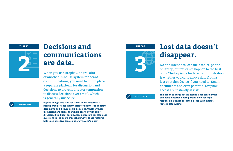

### **THREAT Decisions and THREAT communications are data.**

When you use Dropbox, SharePoint or another in-house system for board communications, you need to put in place a separate platform for discussion and decisions to prevent director temptation to discuss decisions over email, which is generally unsecure.

**Beyond being a one-stop source for board materials, a board portal provides instant tools for directors to annotate documents and discuss board decisions. Whether these discussions are across the whole board or with select directors, it's all kept secure. Administrators can also post questions to the board through surveys. These features help keep sensitive topics out of everyone's inbox.**



# **Lost data doesn't disappear.**

No one intends to lose their tablet, phone or laptop, but mistakes happen to the best of us. The key issue for board administrators is whether you can remove data from a lost or stolen device if you need to. Email, documents and even potential Dropbox access are instantly at risk.

**The ability to purge data is essential for confidential company material. Board portals allow for rapid response if a device or laptop is lost, with instant, remote data-wiping.**

#### **SOLUTION**

**SOLUTION**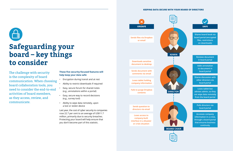#### **KEEPING DATA SECURE WITH YOUR BOARD OF DIRECTORS**





**Shares board book via board portal (encrypted files, restrictions on downloads)**

> **Reviews document in board portal**

**Adds annotation to document in board portal**

**Shares discussion with other directors via board portal**

**Loses tablet but advises admin, so they can wipe data remotely from the board portal** 

> **Polls directors via board portal**



**Accesses company information in a crisis, through a board portal that ensures business continuity**

**Sends files via Dropbox or email**

**Downloads sensitive document to desktop**

**Sends document with comments via email**

**Loses tablet holding company information**

**Fails to purge Dropbox contents**

**Sends question to directors via email**

**Loses access to company-built interface in a disaster or crisis situation** 



### **Safeguarding your board – key things to consider**

The challenge with security is the complexity of board communication. When choosing board collaboration tools, you need to consider the end-to-end activities of board members, as they access, review, and communicate.

### **These five security-focused features will help keep your data safe:**

- Encryption during transit and at rest
- Ability to restrict downloads if required
- Easy, secure forum for shared notes (e.g., annotations within a portal)
- Easy, secure way to record decisions (e.g., survey tool)
- Ability to wipe data remotely, upon a lost or stolen device

Last year, the cost of cyber security to companies rose 22.7 per cent to an average of US\$11.7 million, primarily due to security breaches. Protecting your board will help ensure that you don't become part of this statistic.